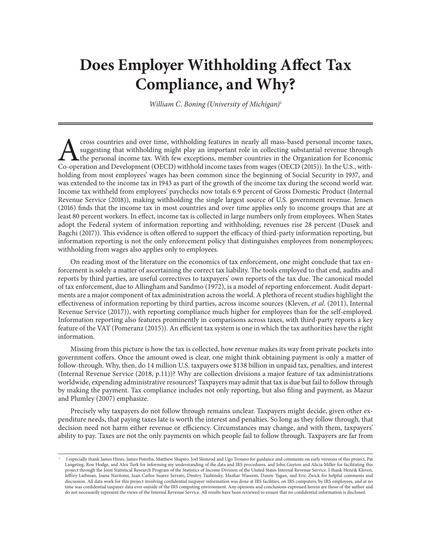## **Does Employer Withholding Affect Tax Compliance, and Why?**

*William C. Boning (University of Michigan)*<sup>1</sup>

The suggesting that withholding might play an important role in collecting substantial revenue through the personal income tax. With few exceptions, member countries in the Organization for Economic Co-operation and Develo suggesting that withholding might play an important role in collecting substantial revenue through the personal income tax. With few exceptions, member countries in the Organization for Economic Co-operation and Development (OECD) withhold income taxes from wages (OECD (2015)). In the U.S., withholding from most employees' wages has been common since the beginning of Social Security in 1937, and was extended to the income tax in 1943 as part of the growth of the income tax during the second world war. Income tax withheld from employees' paychecks now totals 6.9 percent of Gross Domestic Product (Internal Revenue Service (2018)), making withholding the single largest source of U.S. government revenue. Jensen (2016) finds that the income tax in most countries and over time applies only to income groups that are at least 80 percent workers. In effect, income tax is collected in large numbers only from employees. When States adopt the Federal system of information reporting and withholding, revenues rise 28 percent (Dusek and Bagchi (2017)). This evidence is often offered to support the efficacy of third-party information reporting, but information reporting is not the only enforcement policy that distinguishes employees from nonemployees; withholding from wages also applies only to employees.

On reading most of the literature on the economics of tax enforcement, one might conclude that tax enforcement is solely a matter of ascertaining the correct tax liability. The tools employed to that end, audits and reports by third parties, are useful correctives to taxpayers' own reports of the tax due. The canonical model of tax enforcement, due to Allingham and Sandmo (1972), is a model of reporting enforcement. Audit departments are a major component of tax administration across the world. A plethora of recent studies highlight the effectiveness of information reporting by third parties, across income sources (Kleven, *et al*. (2011), Internal Revenue Service (2017)), with reporting compliance much higher for employees than for the self-employed. Information reporting also features prominently in comparisons across taxes, with third-party reports a key feature of the VAT (Pomeranz (2015)). An efficient tax system is one in which the tax authorities have the right information.

Missing from this picture is how the tax is collected, how revenue makes its way from private pockets into government coffers. Once the amount owed is clear, one might think obtaining payment is only a matter of follow-through. Why, then, do 14 million U.S. taxpayers owe \$138 billion in unpaid tax, penalties, and interest (Internal Revenue Service (2018, p.11))? Why are collection divisions a major feature of tax administrations worldwide, expending administrative resources? Taxpayers may admit that tax is due but fail to follow through by making the payment. Tax compliance includes not only reporting, but also filing and payment, as Mazur and Plumley (2007) emphasize.

Precisely why taxpayers do not follow through remains unclear. Taxpayers might decide, given other expenditure needs, that paying taxes late is worth the interest and penalties. So long as they follow through, that decision need not harm either revenue or efficiency. Circumstances may change, and with them, taxpayers' ability to pay. Taxes are not the only payments on which people fail to follow through. Taxpayers are far from

<sup>1</sup> I especially thank James Hines, James Poterba, Matthew Shapiro, Joel Slemrod and Ugo Troiano for guidance and comments on early versions of this project, Pat Langetieg, Ron Hodge, and Alex Turk for informing my understanding of the data and IRS procedures, and John Guyton and Alicia Miller for facilitating this project through the Joint Statistical Research Program of the Statistics of Income Division of the United States Internal Revenue Service. I thank Henrik Kleven, Jeffrey Liebman, Joana Naritomi, Juan Carlos Suarez Serrato, Dmitry Taubinsky, Mazhar Waseem, Danny Yagan, and Eric Zwick for helpful comments and discussion. All data work for this project involving confidential taxpayer information was done at IRS facilities, on IRS computers, by IRS employees, and at no time was confidential taxpayer data ever outside of the IRS computing environment. Any opinions and conclusions expressed herein are those of the author and do not necessarily represent the views of the Internal Revenue Service. All results have been reviewed to ensure that no confidential information is disclosed.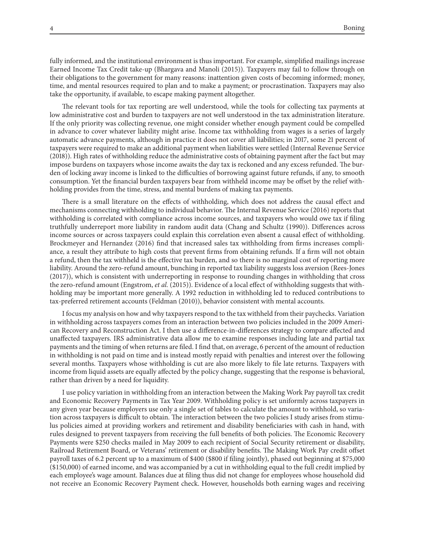fully informed, and the institutional environment is thus important. For example, simplified mailings increase Earned Income Tax Credit take-up (Bhargava and Manoli (2015)). Taxpayers may fail to follow through on their obligations to the government for many reasons: inattention given costs of becoming informed; money, time, and mental resources required to plan and to make a payment; or procrastination. Taxpayers may also take the opportunity, if available, to escape making payment altogether.

The relevant tools for tax reporting are well understood, while the tools for collecting tax payments at low administrative cost and burden to taxpayers are not well understood in the tax administration literature. If the only priority was collecting revenue, one might consider whether enough payment could be compelled in advance to cover whatever liability might arise. Income tax withholding from wages is a series of largely automatic advance payments, although in practice it does not cover all liabilities; in 2017, some 21 percent of taxpayers were required to make an additional payment when liabilities were settled (Internal Revenue Service (2018)). High rates of withholding reduce the administrative costs of obtaining payment after the fact but may impose burdens on taxpayers whose income awaits the day tax is reckoned and any excess refunded. The burden of locking away income is linked to the difficulties of borrowing against future refunds, if any, to smooth consumption. Yet the financial burden taxpayers bear from withheld income may be offset by the relief withholding provides from the time, stress, and mental burdens of making tax payments.

There is a small literature on the effects of withholding, which does not address the causal effect and mechanisms connecting withholding to individual behavior. The Internal Revenue Service (2016) reports that withholding is correlated with compliance across income sources, and taxpayers who would owe tax if filing truthfully underreport more liability in random audit data (Chang and Schultz (1990)). Differences across income sources or across taxpayers could explain this correlation even absent a causal effect of withholding. Brockmeyer and Hernandez (2016) find that increased sales tax withholding from firms increases compliance, a result they attribute to high costs that prevent firms from obtaining refunds. If a firm will not obtain a refund, then the tax withheld is the effective tax burden, and so there is no marginal cost of reporting more liability. Around the zero-refund amount, bunching in reported tax liability suggests loss aversion (Rees-Jones (2017)), which is consistent with underreporting in response to rounding changes in withholding that cross the zero-refund amount (Engstrom, *et al.* (2015)). Evidence of a local effect of withholding suggests that withholding may be important more generally. A 1992 reduction in withholding led to reduced contributions to tax-preferred retirement accounts (Feldman (2010)), behavior consistent with mental accounts.

I focus my analysis on how and why taxpayers respond to the tax withheld from their paychecks. Variation in withholding across taxpayers comes from an interaction between two policies included in the 2009 American Recovery and Reconstruction Act. I then use a difference-in-differences strategy to compare affected and unaffected taxpayers. IRS administrative data allow me to examine responses including late and partial tax payments and the timing of when returns are filed. I find that, on average, 6 percent of the amount of reduction in withholding is not paid on time and is instead mostly repaid with penalties and interest over the following several months. Taxpayers whose withholding is cut are also more likely to file late returns. Taxpayers with income from liquid assets are equally affected by the policy change, suggesting that the response is behavioral, rather than driven by a need for liquidity.

I use policy variation in withholding from an interaction between the Making Work Pay payroll tax credit and Economic Recovery Payments in Tax Year 2009. Withholding policy is set uniformly across taxpayers in any given year because employers use only a single set of tables to calculate the amount to withhold, so variation across taxpayers is difficult to obtain. The interaction between the two policies I study arises from stimulus policies aimed at providing workers and retirement and disability beneficiaries with cash in hand, with rules designed to prevent taxpayers from receiving the full benefits of both policies. The Economic Recovery Payments were \$250 checks mailed in May 2009 to each recipient of Social Security retirement or disability, Railroad Retirement Board, or Veterans' retirement or disability benefits. The Making Work Pay credit offset payroll taxes of 6.2 percent up to a maximum of \$400 (\$800 if filing jointly), phased out beginning at \$75,000 (\$150,000) of earned income, and was accompanied by a cut in withholding equal to the full credit implied by each employee's wage amount. Balances due at filing thus did not change for employees whose household did not receive an Economic Recovery Payment check. However, households both earning wages and receiving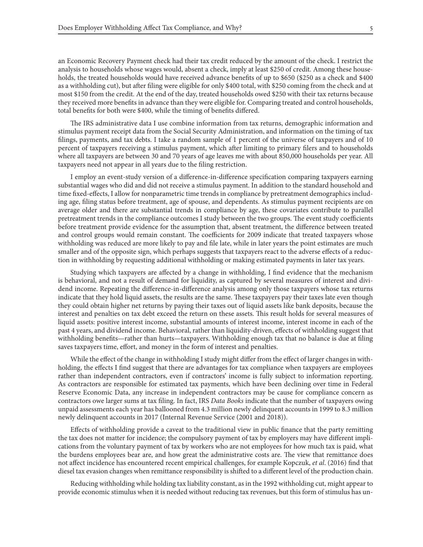an Economic Recovery Payment check had their tax credit reduced by the amount of the check. I restrict the analysis to households whose wages would, absent a check, imply at least \$250 of credit. Among these households, the treated households would have received advance benefits of up to \$650 (\$250 as a check and \$400 as a withholding cut), but after filing were eligible for only \$400 total, with \$250 coming from the check and at most \$150 from the credit. At the end of the day, treated households owed \$250 with their tax returns because they received more benefits in advance than they were eligible for. Comparing treated and control households, total benefits for both were \$400, while the timing of benefits differed.

The IRS administrative data I use combine information from tax returns, demographic information and stimulus payment receipt data from the Social Security Administration, and information on the timing of tax filings, payments, and tax debts. I take a random sample of 1 percent of the universe of taxpayers and of 10 percent of taxpayers receiving a stimulus payment, which after limiting to primary filers and to households where all taxpayers are between 30 and 70 years of age leaves me with about 850,000 households per year. All taxpayers need not appear in all years due to the filing restriction.

I employ an event-study version of a difference-in-difference specification comparing taxpayers earning substantial wages who did and did not receive a stimulus payment. In addition to the standard household and time fixed-effects, I allow for nonparametric time trends in compliance by pretreatment demographics including age, filing status before treatment, age of spouse, and dependents. As stimulus payment recipients are on average older and there are substantial trends in compliance by age, these covariates contribute to parallel pretreatment trends in the compliance outcomes I study between the two groups. The event study coefficients before treatment provide evidence for the assumption that, absent treatment, the difference between treated and control groups would remain constant. The coefficients for 2009 indicate that treated taxpayers whose withholding was reduced are more likely to pay and file late, while in later years the point estimates are much smaller and of the opposite sign, which perhaps suggests that taxpayers react to the adverse effects of a reduction in withholding by requesting additional withholding or making estimated payments in later tax years.

Studying which taxpayers are affected by a change in withholding, I find evidence that the mechanism is behavioral, and not a result of demand for liquidity, as captured by several measures of interest and dividend income. Repeating the difference-in-difference analysis among only those taxpayers whose tax returns indicate that they hold liquid assets, the results are the same. These taxpayers pay their taxes late even though they could obtain higher net returns by paying their taxes out of liquid assets like bank deposits, because the interest and penalties on tax debt exceed the return on these assets. This result holds for several measures of liquid assets: positive interest income, substantial amounts of interest income, interest income in each of the past 4 years, and dividend income. Behavioral, rather than liquidity-driven, effects of withholding suggest that withholding benefits—rather than hurts—taxpayers. Withholding enough tax that no balance is due at filing saves taxpayers time, effort, and money in the form of interest and penalties.

While the effect of the change in withholding I study might differ from the effect of larger changes in withholding, the effects I find suggest that there are advantages for tax compliance when taxpayers are employees rather than independent contractors, even if contractors' income is fully subject to information reporting. As contractors are responsible for estimated tax payments, which have been declining over time in Federal Reserve Economic Data, any increase in independent contractors may be cause for compliance concern as contractors owe larger sums at tax filing. In fact, IRS *Data Books* indicate that the number of taxpayers owing unpaid assessments each year has ballooned from 4.3 million newly delinquent accounts in 1999 to 8.3 million newly delinquent accounts in 2017 (Internal Revenue Service (2001 and 2018)).

Effects of withholding provide a caveat to the traditional view in public finance that the party remitting the tax does not matter for incidence; the compulsory payment of tax by employers may have different implications from the voluntary payment of tax by workers who are not employees for how much tax is paid, what the burdens employees bear are, and how great the administrative costs are. The view that remittance does not affect incidence has encountered recent empirical challenges, for example Kopczuk, *et al*. (2016) find that diesel tax evasion changes when remittance responsibility is shifted to a different level of the production chain.

Reducing withholding while holding tax liability constant, as in the 1992 withholding cut, might appear to provide economic stimulus when it is needed without reducing tax revenues, but this form of stimulus has un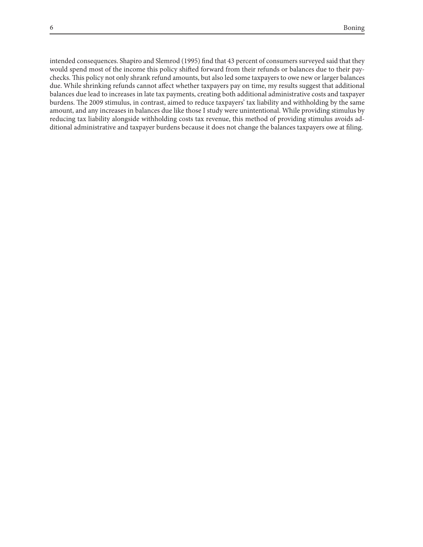intended consequences. Shapiro and Slemrod (1995) find that 43 percent of consumers surveyed said that they would spend most of the income this policy shifted forward from their refunds or balances due to their paychecks. This policy not only shrank refund amounts, but also led some taxpayers to owe new or larger balances due. While shrinking refunds cannot affect whether taxpayers pay on time, my results suggest that additional balances due lead to increases in late tax payments, creating both additional administrative costs and taxpayer burdens. The 2009 stimulus, in contrast, aimed to reduce taxpayers' tax liability and withholding by the same amount, and any increases in balances due like those I study were unintentional. While providing stimulus by reducing tax liability alongside withholding costs tax revenue, this method of providing stimulus avoids additional administrative and taxpayer burdens because it does not change the balances taxpayers owe at filing.